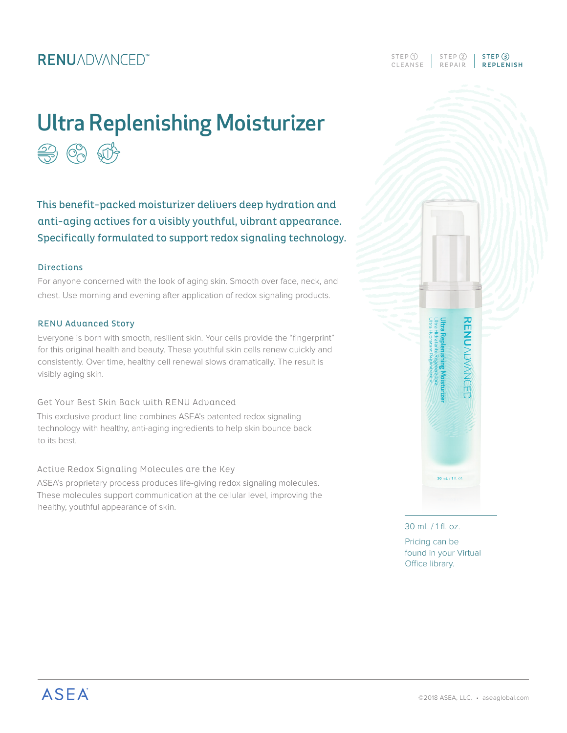### **RENUADVANCED**<sup>\*\*</sup>

# Ultra Replenishing Moisturizer **第63 的**

This benefit-packed moisturizer delivers deep hydration and anti-aging actives for a visibly youthful, vibrant appearance. Specifically formulated to support redox signaling technology.

#### **Directions**

For anyone concerned with the look of aging skin. Smooth over face, neck, and chest. Use morning and evening after application of redox signaling products.

#### RENU Advanced Story

Everyone is born with smooth, resilient skin. Your cells provide the "fingerprint" for this original health and beauty. These youthful skin cells renew quickly and consistently. Over time, healthy cell renewal slows dramatically. The result is visibly aging skin.

#### Get Your Best Skin Back with RENU Advanced

This exclusive product line combines ASEA's patented redox signaling technology with healthy, anti-aging ingredients to help skin bounce back to its best.

#### Active Redox Signaling Molecules are the Key

ASEA's proprietary process produces life-giving redox signaling molecules. These molecules support communication at the cellular level, improving the healthy, youthful appearance of skin.



CLEANSE REPAIR **REPLENISH**  $STEP$  (1) |  $STEP$  (2) |  $STEP$  (3)

30 mL / 1 fl. oz.

Pricing can be found in your Virtual Office library.